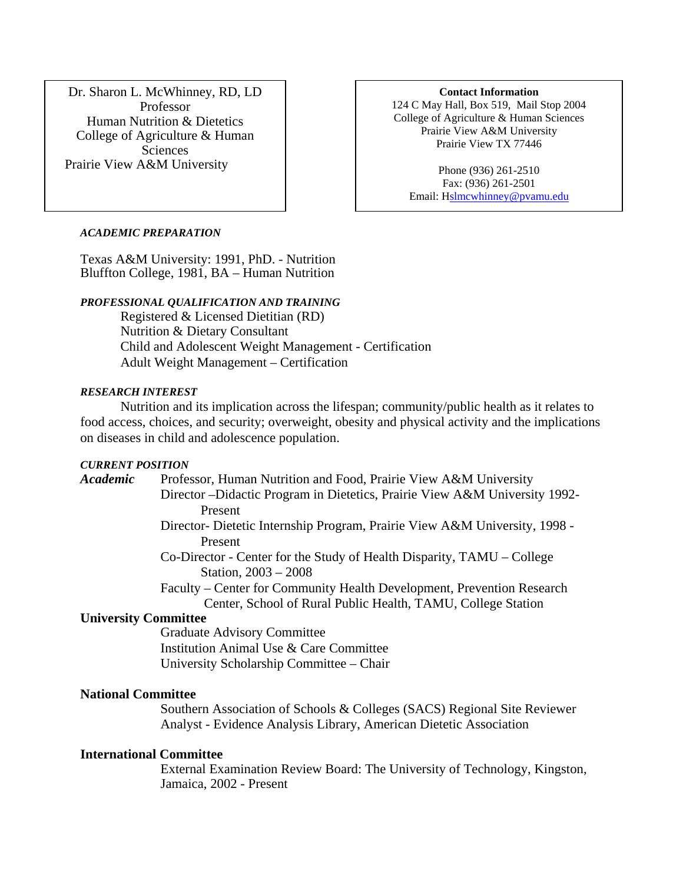Dr. Sharon L. McWhinney, RD, LD Professor Human Nutrition & Dietetics College of Agriculture & Human **Sciences** Prairie View A&M University

#### **Contact Information**

124 C May Hall, Box 519, Mail Stop 2004 College of Agriculture & Human Sciences Prairie View A&M University Prairie View TX 77446

Phone (936) 261-2510 Fax: (936) 261-2501 Email: Hslmcwhinney@pvamu.edu

#### *ACADEMIC PREPARATION*

Texas A&M University: 1991, PhD. - Nutrition Bluffton College, 1981, BA – Human Nutrition

### *PROFESSIONAL QUALIFICATION AND TRAINING*

Registered & Licensed Dietitian (RD) Nutrition & Dietary Consultant Child and Adolescent Weight Management - Certification Adult Weight Management – Certification

#### *RESEARCH INTEREST*

Nutrition and its implication across the lifespan; community/public health as it relates to food access, choices, and security; overweight, obesity and physical activity and the implications on diseases in child and adolescence population.

#### *CURRENT POSITION*

*Academic* Professor, Human Nutrition and Food, Prairie View A&M University Director –Didactic Program in Dietetics, Prairie View A&M University 1992-

Present

- Director- Dietetic Internship Program, Prairie View A&M University, 1998 Present
- Co-Director Center for the Study of Health Disparity, TAMU College Station, 2003 – 2008

Faculty – Center for Community Health Development, Prevention Research Center, School of Rural Public Health, TAMU, College Station

### **University Committee**

Graduate Advisory Committee Institution Animal Use & Care Committee University Scholarship Committee – Chair

## **National Committee**

Southern Association of Schools & Colleges (SACS) Regional Site Reviewer Analyst - Evidence Analysis Library, American Dietetic Association

### **International Committee**

External Examination Review Board: The University of Technology, Kingston, Jamaica, 2002 - Present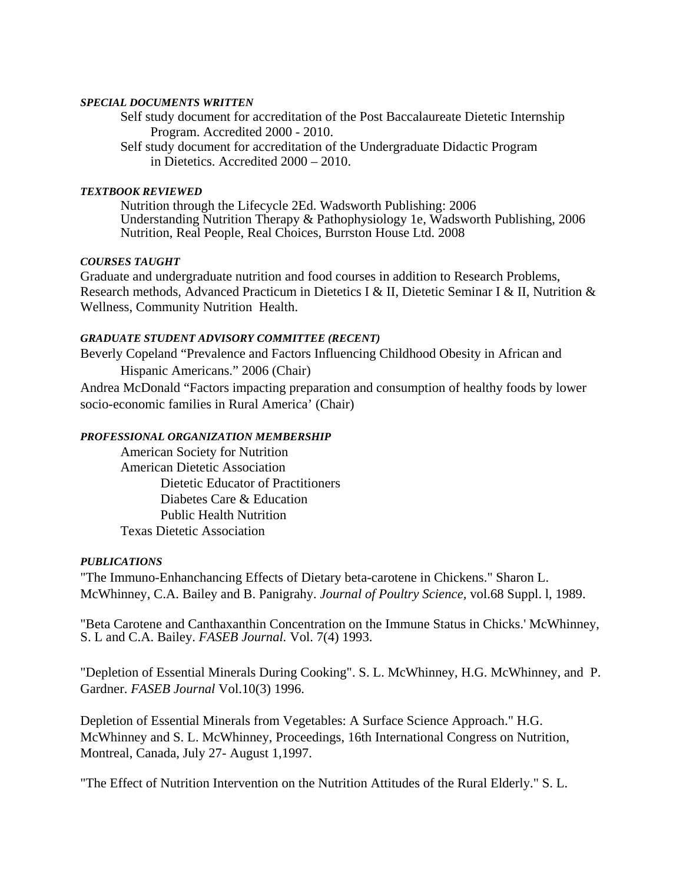#### *SPECIAL DOCUMENTS WRITTEN*

Self study document for accreditation of the Post Baccalaureate Dietetic Internship Program. Accredited 2000 - 2010.

 Self study document for accreditation of the Undergraduate Didactic Program in Dietetics. Accredited 2000 – 2010.

#### *TEXTBOOK REVIEWED*

 Nutrition through the Lifecycle 2Ed. Wadsworth Publishing: 2006 Understanding Nutrition Therapy & Pathophysiology 1e, Wadsworth Publishing, 2006 Nutrition, Real People, Real Choices, Burrston House Ltd. 2008

## *COURSES TAUGHT*

Graduate and undergraduate nutrition and food courses in addition to Research Problems, Research methods, Advanced Practicum in Dietetics I & II, Dietetic Seminar I & II, Nutrition & Wellness, Community Nutrition Health.

## *GRADUATE STUDENT ADVISORY COMMITTEE (RECENT)*

Beverly Copeland "Prevalence and Factors Influencing Childhood Obesity in African and Hispanic Americans." 2006 (Chair)

Andrea McDonald "Factors impacting preparation and consumption of healthy foods by lower socio-economic families in Rural America' (Chair)

### *PROFESSIONAL ORGANIZATION MEMBERSHIP*

American Society for Nutrition American Dietetic Association Dietetic Educator of Practitioners Diabetes Care & Education Public Health Nutrition Texas Dietetic Association

## *PUBLICATIONS*

"The Immuno-Enhanchancing Effects of Dietary beta-carotene in Chickens." Sharon L. McWhinney, C.A. Bailey and B. Panigrahy. *Journal of Poultry Science,* vol.68 Suppl. l, 1989.

"Beta Carotene and Canthaxanthin Concentration on the Immune Status in Chicks.' McWhinney, S. L and C.A. Bailey. *FASEB Journal.* Vol. 7(4) 1993.

"Depletion of Essential Minerals During Cooking". S. L. McWhinney, H.G. McWhinney, and P. Gardner. *FASEB Journal* Vol.10(3) 1996.

Depletion of Essential Minerals from Vegetables: A Surface Science Approach." H.G. McWhinney and S. L. McWhinney, Proceedings, 16th International Congress on Nutrition, Montreal, Canada, July 27- August 1,1997.

"The Effect of Nutrition Intervention on the Nutrition Attitudes of the Rural Elderly." S. L.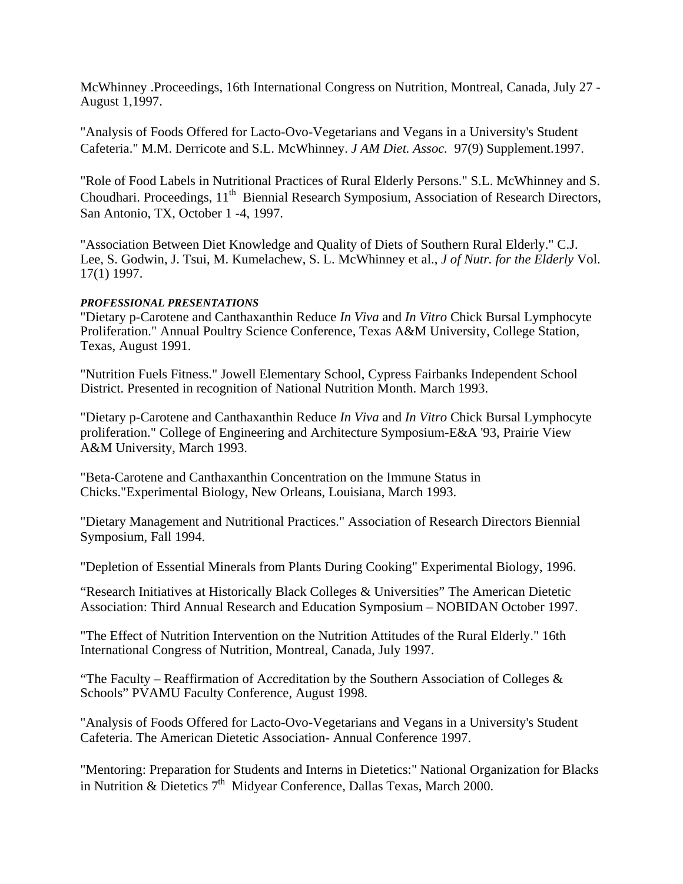McWhinney .Proceedings, 16th International Congress on Nutrition, Montreal, Canada, July 27 - August 1,1997.

"Analysis of Foods Offered for Lacto-Ovo-Vegetarians and Vegans in a University's Student Cafeteria." M.M. Derricote and S.L. McWhinney. *J AM Diet. Assoc.* 97(9) Supplement.1997.

"Role of Food Labels in Nutritional Practices of Rural Elderly Persons." S.L. McWhinney and S. Choudhari. Proceedings, 11<sup>th</sup> Biennial Research Symposium, Association of Research Directors, San Antonio, TX, October 1 -4, 1997.

"Association Between Diet Knowledge and Quality of Diets of Southern Rural Elderly." C.J. Lee, S. Godwin, J. Tsui, M. Kumelachew, S. L. McWhinney et al., *J of Nutr. for the Elderly* Vol. 17(1) 1997.

## *PROFESSIONAL PRESENTATIONS*

"Dietary p-Carotene and Canthaxanthin Reduce *In Viva* and *In Vitro* Chick Bursal Lymphocyte Proliferation." Annual Poultry Science Conference, Texas A&M University, College Station, Texas, August 1991.

"Nutrition Fuels Fitness." Jowell Elementary School, Cypress Fairbanks Independent School District. Presented in recognition of National Nutrition Month. March 1993.

"Dietary p-Carotene and Canthaxanthin Reduce *In Viva* and *In Vitro* Chick Bursal Lymphocyte proliferation." College of Engineering and Architecture Symposium-E&A '93, Prairie View A&M University, March 1993.

"Beta-Carotene and Canthaxanthin Concentration on the Immune Status in Chicks."Experimental Biology, New Orleans, Louisiana, March 1993.

"Dietary Management and Nutritional Practices." Association of Research Directors Biennial Symposium, Fall 1994.

"Depletion of Essential Minerals from Plants During Cooking" Experimental Biology, 1996.

"Research Initiatives at Historically Black Colleges & Universities" The American Dietetic Association: Third Annual Research and Education Symposium – NOBIDAN October 1997.

"The Effect of Nutrition Intervention on the Nutrition Attitudes of the Rural Elderly." 16th International Congress of Nutrition, Montreal, Canada, July 1997.

"The Faculty – Reaffirmation of Accreditation by the Southern Association of Colleges  $\&$ Schools" PVAMU Faculty Conference, August 1998.

"Analysis of Foods Offered for Lacto-Ovo-Vegetarians and Vegans in a University's Student Cafeteria. The American Dietetic Association- Annual Conference 1997.

"Mentoring: Preparation for Students and Interns in Dietetics:" National Organization for Blacks in Nutrition & Dietetics 7<sup>th</sup> Midyear Conference, Dallas Texas, March 2000.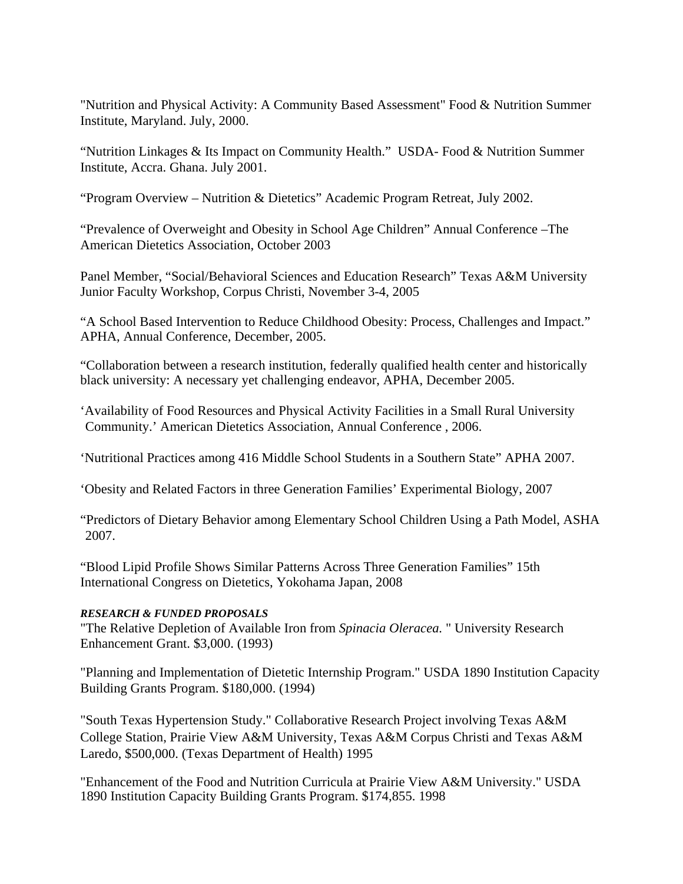"Nutrition and Physical Activity: A Community Based Assessment" Food & Nutrition Summer Institute, Maryland. July, 2000.

"Nutrition Linkages & Its Impact on Community Health." USDA- Food & Nutrition Summer Institute, Accra. Ghana. July 2001.

"Program Overview – Nutrition & Dietetics" Academic Program Retreat, July 2002.

"Prevalence of Overweight and Obesity in School Age Children" Annual Conference –The American Dietetics Association, October 2003

Panel Member, "Social/Behavioral Sciences and Education Research" Texas A&M University Junior Faculty Workshop, Corpus Christi, November 3-4, 2005

"A School Based Intervention to Reduce Childhood Obesity: Process, Challenges and Impact." APHA, Annual Conference, December, 2005.

"Collaboration between a research institution, federally qualified health center and historically black university: A necessary yet challenging endeavor, APHA, December 2005.

'Availability of Food Resources and Physical Activity Facilities in a Small Rural University Community.' American Dietetics Association, Annual Conference , 2006.

'Nutritional Practices among 416 Middle School Students in a Southern State" APHA 2007.

'Obesity and Related Factors in three Generation Families' Experimental Biology, 2007

"Predictors of Dietary Behavior among Elementary School Children Using a Path Model, ASHA 2007.

"Blood Lipid Profile Shows Similar Patterns Across Three Generation Families" 15th International Congress on Dietetics, Yokohama Japan, 2008

# *RESEARCH & FUNDED PROPOSALS*

"The Relative Depletion of Available Iron from *Spinacia Oleracea.* " University Research Enhancement Grant. \$3,000. (1993)

"Planning and Implementation of Dietetic Internship Program." USDA 1890 Institution Capacity Building Grants Program. \$180,000. (1994)

"South Texas Hypertension Study." Collaborative Research Project involving Texas A&M College Station, Prairie View A&M University, Texas A&M Corpus Christi and Texas A&M Laredo, \$500,000. (Texas Department of Health) 1995

"Enhancement of the Food and Nutrition Curricula at Prairie View A&M University." USDA 1890 Institution Capacity Building Grants Program. \$174,855. 1998